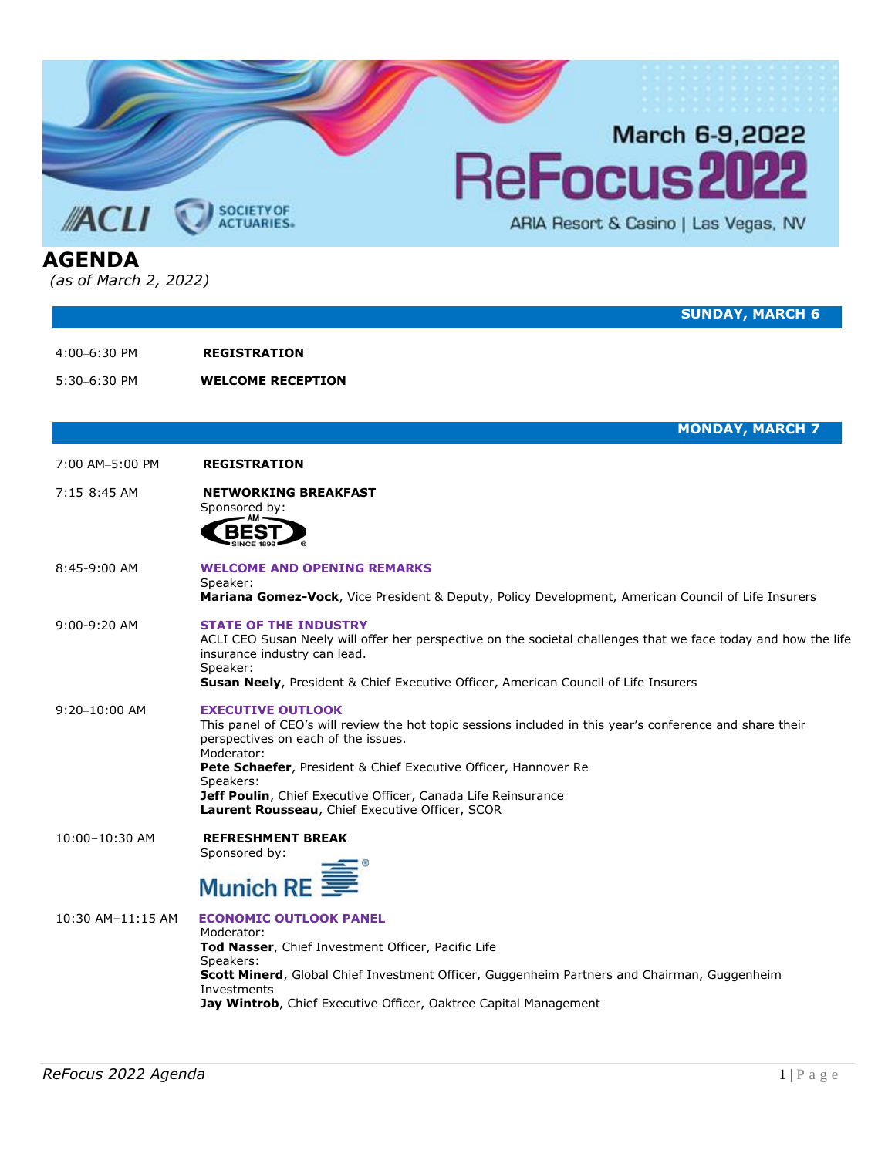

5:30–6:30 PM **WELCOME RECEPTION**

**MONDAY, MARCH 7**

7:00 AM–5:00 PM **REGISTRATION**

### 7:15–8:45 AM **NETWORKING BREAKFAST**

Sponsored by:



8:45-9:00 AM **WELCOME AND OPENING REMARKS** Speaker:

**Mariana Gomez-Vock**, Vice President & Deputy, Policy Development, American Council of Life Insurers

#### 9:00-9:20 AM **STATE OF THE INDUSTRY**

ACLI CEO Susan Neely will offer her perspective on the societal challenges that we face today and how the life insurance industry can lead. Speaker:

**Susan Neely**, President & Chief Executive Officer, American Council of Life Insurers

# 9:20–10:00 AM **EXECUTIVE OUTLOOK**

This panel of CEO's will review the hot topic sessions included in this year's conference and share their perspectives on each of the issues. Moderator: **Pete Schaefer**, President & Chief Executive Officer, Hannover Re Speakers: **Jeff Poulin**, Chief Executive Officer, Canada Life Reinsurance **Laurent Rousseau**, Chief Executive Officer, SCOR

10:00–10:30 AM **REFRESHMENT BREAK** Sponsored by:

# Munich RE<sup>3</sup>

| 10:30 AM-11:15 AM | <b>ECONOMIC OUTLOOK PANEL</b><br>Moderator:<br><b>Tod Nasser</b> , Chief Investment Officer, Pacific Life<br>Speakers:<br><b>Scott Minerd, Global Chief Investment Officer, Guggenheim Partners and Chairman, Guggenheim</b><br>Investments<br><b>Jay Wintrob,</b> Chief Executive Officer, Oaktree Capital Management |
|-------------------|------------------------------------------------------------------------------------------------------------------------------------------------------------------------------------------------------------------------------------------------------------------------------------------------------------------------|
|-------------------|------------------------------------------------------------------------------------------------------------------------------------------------------------------------------------------------------------------------------------------------------------------------------------------------------------------------|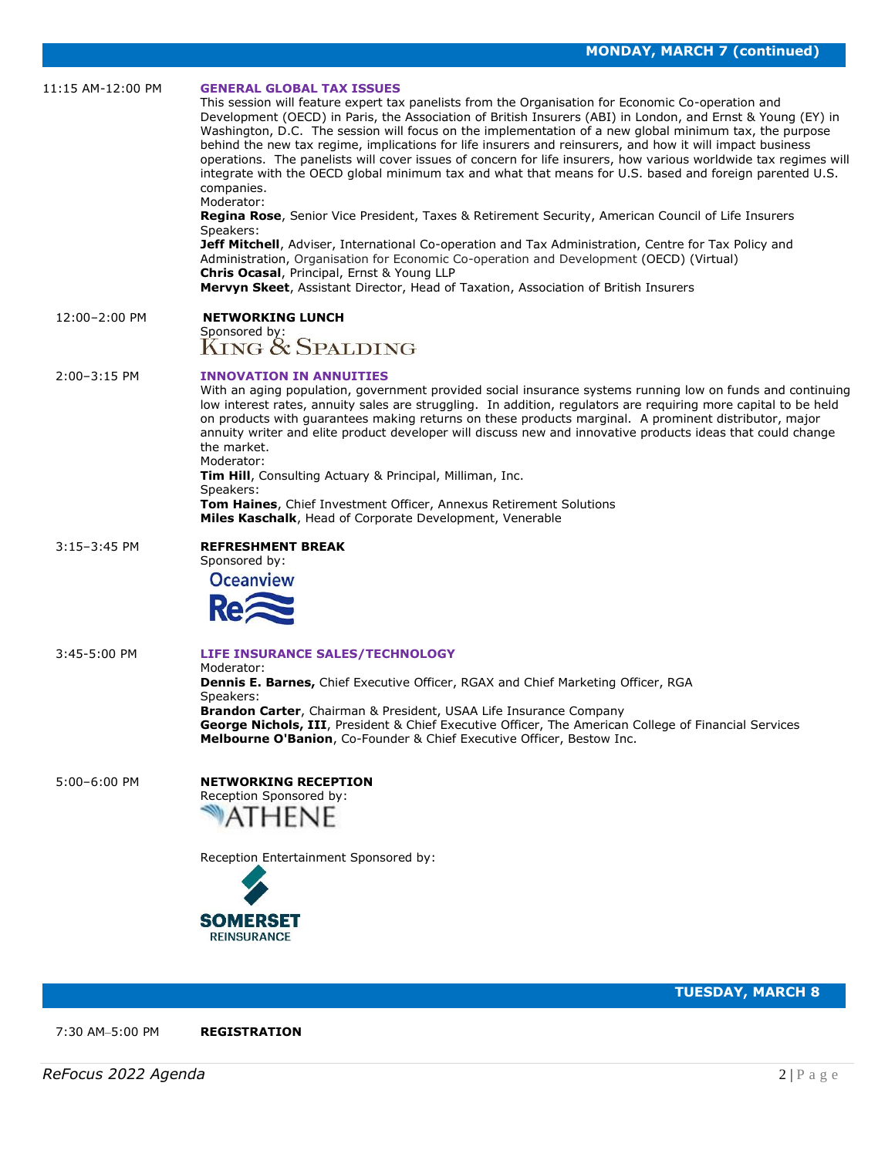| 11:15 AM-12:00 PM | <b>GENERAL GLOBAL TAX ISSUES</b><br>This session will feature expert tax panelists from the Organisation for Economic Co-operation and<br>Development (OECD) in Paris, the Association of British Insurers (ABI) in London, and Ernst & Young (EY) in<br>Washington, D.C. The session will focus on the implementation of a new global minimum tax, the purpose<br>behind the new tax regime, implications for life insurers and reinsurers, and how it will impact business<br>operations. The panelists will cover issues of concern for life insurers, how various worldwide tax regimes will<br>integrate with the OECD global minimum tax and what that means for U.S. based and foreign parented U.S.<br>companies.<br>Moderator:<br>Regina Rose, Senior Vice President, Taxes & Retirement Security, American Council of Life Insurers<br>Speakers:<br><b>Jeff Mitchell</b> , Adviser, International Co-operation and Tax Administration, Centre for Tax Policy and<br>Administration, Organisation for Economic Co-operation and Development (OECD) (Virtual)<br>Chris Ocasal, Principal, Ernst & Young LLP<br>Mervyn Skeet, Assistant Director, Head of Taxation, Association of British Insurers |
|-------------------|------------------------------------------------------------------------------------------------------------------------------------------------------------------------------------------------------------------------------------------------------------------------------------------------------------------------------------------------------------------------------------------------------------------------------------------------------------------------------------------------------------------------------------------------------------------------------------------------------------------------------------------------------------------------------------------------------------------------------------------------------------------------------------------------------------------------------------------------------------------------------------------------------------------------------------------------------------------------------------------------------------------------------------------------------------------------------------------------------------------------------------------------------------------------------------------------------------|
| 12:00-2:00 PM     | <b>NETWORKING LUNCH</b><br>Sponsored by:<br>KING & SPALDING                                                                                                                                                                                                                                                                                                                                                                                                                                                                                                                                                                                                                                                                                                                                                                                                                                                                                                                                                                                                                                                                                                                                                |
| $2:00-3:15$ PM    | <b>INNOVATION IN ANNUITIES</b><br>With an aging population, government provided social insurance systems running low on funds and continuing<br>low interest rates, annuity sales are struggling. In addition, regulators are requiring more capital to be held<br>on products with guarantees making returns on these products marginal. A prominent distributor, major<br>annuity writer and elite product developer will discuss new and innovative products ideas that could change<br>the market.<br>Moderator:<br><b>Tim Hill, Consulting Actuary &amp; Principal, Milliman, Inc.</b><br>Speakers:<br><b>Tom Haines, Chief Investment Officer, Annexus Retirement Solutions</b><br>Miles Kaschalk, Head of Corporate Development, Venerable                                                                                                                                                                                                                                                                                                                                                                                                                                                          |
| $3:15 - 3:45$ PM  | <b>REFRESHMENT BREAK</b><br>Sponsored by:<br><b>Oceanview</b>                                                                                                                                                                                                                                                                                                                                                                                                                                                                                                                                                                                                                                                                                                                                                                                                                                                                                                                                                                                                                                                                                                                                              |
| 3:45-5:00 PM      | LIFE INSURANCE SALES/TECHNOLOGY<br>Moderator:<br><b>Dennis E. Barnes, Chief Executive Officer, RGAX and Chief Marketing Officer, RGA</b><br>Speakers:<br><b>Brandon Carter</b> , Chairman & President, USAA Life Insurance Company<br>George Nichols, III, President & Chief Executive Officer, The American College of Financial Services<br>Melbourne O'Banion, Co-Founder & Chief Executive Officer, Bestow Inc.                                                                                                                                                                                                                                                                                                                                                                                                                                                                                                                                                                                                                                                                                                                                                                                        |
| 5:00-6:00 PM      | <b>NETWORKING RECEPTION</b><br>Reception Sponsored by:<br><b>ATHENE</b>                                                                                                                                                                                                                                                                                                                                                                                                                                                                                                                                                                                                                                                                                                                                                                                                                                                                                                                                                                                                                                                                                                                                    |
|                   | Reception Entertainment Sponsored by:                                                                                                                                                                                                                                                                                                                                                                                                                                                                                                                                                                                                                                                                                                                                                                                                                                                                                                                                                                                                                                                                                                                                                                      |



**TUESDAY, MARCH 8**

7:30 AM–5:00 PM **REGISTRATION**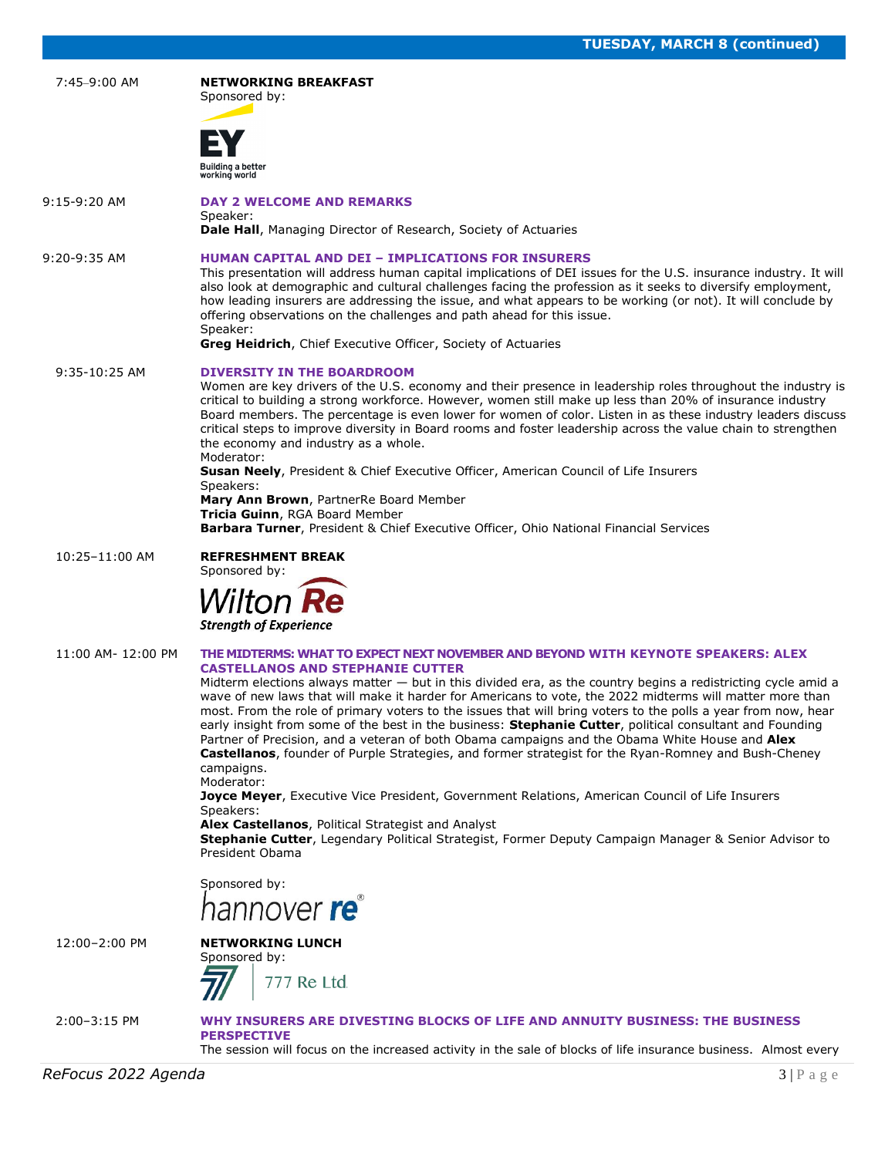|                    | <b>IULSUAT, MAKUT &amp; (CONTINUED)</b>                                                                                                                                                                                                                                                                                                                                                                                                                                                                                                                                                                                                                                                                                                                                                                                                                                                                                                                                                                                                                                                                                                        |
|--------------------|------------------------------------------------------------------------------------------------------------------------------------------------------------------------------------------------------------------------------------------------------------------------------------------------------------------------------------------------------------------------------------------------------------------------------------------------------------------------------------------------------------------------------------------------------------------------------------------------------------------------------------------------------------------------------------------------------------------------------------------------------------------------------------------------------------------------------------------------------------------------------------------------------------------------------------------------------------------------------------------------------------------------------------------------------------------------------------------------------------------------------------------------|
| 7:45-9:00 AM       | <b>NETWORKING BREAKFAST</b><br>Sponsored by:<br>Building a better<br>working world                                                                                                                                                                                                                                                                                                                                                                                                                                                                                                                                                                                                                                                                                                                                                                                                                                                                                                                                                                                                                                                             |
| $9:15-9:20$ AM     | <b>DAY 2 WELCOME AND REMARKS</b><br>Speaker:<br><b>Dale Hall, Managing Director of Research, Society of Actuaries</b>                                                                                                                                                                                                                                                                                                                                                                                                                                                                                                                                                                                                                                                                                                                                                                                                                                                                                                                                                                                                                          |
| $9:20-9:35$ AM     | <b>HUMAN CAPITAL AND DEI - IMPLICATIONS FOR INSURERS</b><br>This presentation will address human capital implications of DEI issues for the U.S. insurance industry. It will<br>also look at demographic and cultural challenges facing the profession as it seeks to diversify employment,<br>how leading insurers are addressing the issue, and what appears to be working (or not). It will conclude by<br>offering observations on the challenges and path ahead for this issue.<br>Speaker:<br><b>Greg Heidrich, Chief Executive Officer, Society of Actuaries</b>                                                                                                                                                                                                                                                                                                                                                                                                                                                                                                                                                                        |
| 9:35-10:25 AM      | <b>DIVERSITY IN THE BOARDROOM</b><br>Women are key drivers of the U.S. economy and their presence in leadership roles throughout the industry is<br>critical to building a strong workforce. However, women still make up less than 20% of insurance industry<br>Board members. The percentage is even lower for women of color. Listen in as these industry leaders discuss<br>critical steps to improve diversity in Board rooms and foster leadership across the value chain to strengthen<br>the economy and industry as a whole.<br>Moderator:<br><b>Susan Neely, President &amp; Chief Executive Officer, American Council of Life Insurers</b><br>Speakers:<br>Mary Ann Brown, PartnerRe Board Member<br>Tricia Guinn, RGA Board Member<br>Barbara Turner, President & Chief Executive Officer, Ohio National Financial Services                                                                                                                                                                                                                                                                                                        |
| 10:25-11:00 AM     | <b>REFRESHMENT BREAK</b><br>Sponsored by:<br><b>Wilton Re</b><br><b>Strength of Experience</b>                                                                                                                                                                                                                                                                                                                                                                                                                                                                                                                                                                                                                                                                                                                                                                                                                                                                                                                                                                                                                                                 |
| 11:00 AM- 12:00 PM | THE MIDTERMS: WHAT TO EXPECT NEXT NOVEMBER AND BEYOND WITH KEYNOTE SPEAKERS: ALEX<br><b>CASTELLANOS AND STEPHANIE CUTTER</b><br>Midterm elections always matter $-$ but in this divided era, as the country begins a redistricting cycle amid a<br>wave of new laws that will make it harder for Americans to vote, the 2022 midterms will matter more than<br>most. From the role of primary voters to the issues that will bring voters to the polls a year from now, hear<br>early insight from some of the best in the business: <b>Stephanie Cutter</b> , political consultant and Founding<br>Partner of Precision, and a veteran of both Obama campaigns and the Obama White House and Alex<br><b>Castellanos</b> , founder of Purple Strategies, and former strategist for the Ryan-Romney and Bush-Cheney<br>campaigns.<br>Moderator:<br>Joyce Meyer, Executive Vice President, Government Relations, American Council of Life Insurers<br>Speakers:<br>Alex Castellanos, Political Strategist and Analyst<br>Stephanie Cutter, Legendary Political Strategist, Former Deputy Campaign Manager & Senior Advisor to<br>President Obama |
|                    | Sponsored by:<br>hannover re                                                                                                                                                                                                                                                                                                                                                                                                                                                                                                                                                                                                                                                                                                                                                                                                                                                                                                                                                                                                                                                                                                                   |
| 12:00-2:00 PM      | <b>NETWORKING LUNCH</b><br>Sponsored by:<br>777 Re Ltd.                                                                                                                                                                                                                                                                                                                                                                                                                                                                                                                                                                                                                                                                                                                                                                                                                                                                                                                                                                                                                                                                                        |
| 2:00-3:15 PM       | WHY INSURERS ARE DIVESTING BLOCKS OF LIFE AND ANNUITY BUSINESS: THE BUSINESS<br><b>PERSPECTIVE</b><br>The session will focus on the increased activity in the sale of blocks of life insurance business. Almost every                                                                                                                                                                                                                                                                                                                                                                                                                                                                                                                                                                                                                                                                                                                                                                                                                                                                                                                          |